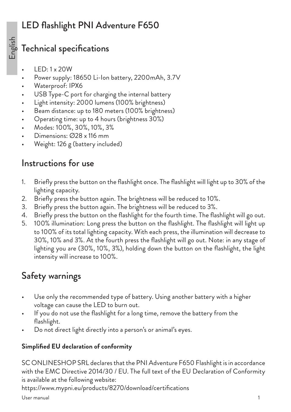# LED flashlight PNI Adventure F650

## Technical specifications

- LED: 1 x 20W
- Power supply: 18650 Li-Ion battery, 2200mAh, 3.7V
- Waterproof: IPX6
- USB Type-C port for charging the internal battery
- Light intensity: 2000 lumens (100% brightness)
- Beam distance: up to 180 meters (100% brightness)
- Operating time: up to 4 hours (brightness 30%)
- Modes: 100%, 30%, 10%, 3%
- Dimensions: Ø28 x 116 mm
- Weight: 126 g (battery included)

## Instructions for use

- 1. Briefly press the button on the flashlight once. The flashlight will light up to 30% of the lighting capacity.
- 2. Briefly press the button again. The brightness will be reduced to 10%.
- 3. Briefly press the button again. The brightness will be reduced to 3%.
- 4. Briefly press the button on the flashlight for the fourth time. The flashlight will go out.
- 5. 100% illumination: Long press the button on the flashlight. The flashlight will light up to 100% of its total lighting capacity. With each press, the illumination will decrease to 30%, 10% and 3%. At the fourth press the flashlight will go out. Note: in any stage of lighting you are (30%, 10%, 3%), holding down the button on the flashlight, the light intensity will increase to 100%.

# Safety warnings

- Use only the recommended type of battery. Using another battery with a higher voltage can cause the LED to burn out.
- If you do not use the flashlight for a long time, remove the battery from the flashlight.
- Do not direct light directly into a person's or animal's eyes.

#### **Simplified EU declaration of conformity**

SC ONLINESHOP SRL declares that the PNI Adventure F650 Flashlight is in accordance with the EMC Directive 2014/30 / EU. The full text of the EU Declaration of Conformity is available at the following website: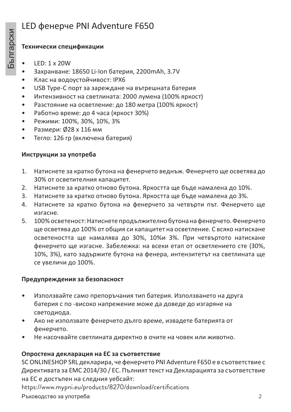## LED фенерче PNI Adventure F650

#### **Технически спецификации**

- LED: 1 x 20W
- Захранване: 18650 Li-Ion батерия, 2200mAh, 3.7V
- Клас на водоустойчивост: IPX6
- USB Type-C порт за зареждане на вътрешната батерия
- Интензивност на светлината: 2000 лумена (100% яркост)
- Разстояние на осветление: до 180 метра (100% яркост)
- Работно време: до 4 часа (яркост 30%)
- Режими: 100%, 30%, 10%, 3%
- Размери: Ø28 x 116 мм
- Тегло: 126 гр (включена батерия)

#### **Инструкции за употреба**

- 1. Натиснете за кратко бутона на фенерчето веднъж. Фенерчето ще осветява до 30% от осветителния капацитет.
- 2. Натиснете за кратко отново бутона. Яркостта ще бъде намалена до 10%.
- 3. Натиснете за кратко отново бутона. Яркостта ще бъде намалена до 3%.
- 4. Натиснете за кратко бутона на фенерчето за четвърти път. Фенерчето ще изгасне.
- 5. 100% осветеност: Натиснете продължително бутона на фенерчето. Фенерчето ще осветява до 100% от общия си капацитет на осветление. С всяко натискане осветеността ще намалява до 30%, 10%и 3%. При четвъртото натискане фенерчето ще изгасне. Забележка: на всеки етап от осветлението сте (30%, 10%, 3%), като задържите бутона на фенера, интензитетът на светлината ще се увеличи до 100%.

#### **Предупреждения за безопасност**

- Използвайте само препоръчания тип батерия. Използването на друга батерия с по -високо напрежение може да доведе до изгаряне на светодиода.
- Ако не използвате фенерчето дълго време, извадете батерията от фенерчето.
- Не насочвайте светлината директно в очите на човек или животно.

#### **Опростена декларация на ЕС за съответствие**

SC ONLINESHOP SRL декларира, че фенерчето PNI Adventure F650 е в съответствие с Директивата за ЕМС 2014/30 / ЕС. Пълният текст на Декларацията за съответствие на ЕС е достъпен на следния уебсайт:

https://www.mypni.eu/products/8270/download/certifications

Ръководство за употреба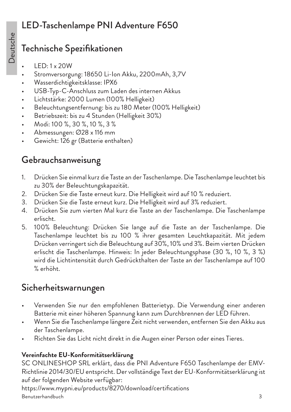# LED-Taschenlampe PNI Adventure F650

# Technische Spezifikationen

- LED: 1 x 20W
- Stromversorgung: 18650 Li-Ion Akku, 2200mAh, 3,7V
- Wasserdichtigkeitsklasse: IPX6
- USB-Typ-C-Anschluss zum Laden des internen Akkus
- Lichtstärke: 2000 Lumen (100% Helligkeit)
- Beleuchtungsentfernung: bis zu 180 Meter (100% Helligkeit)
- Betriebszeit: bis zu 4 Stunden (Helligkeit 30%)
- Modi: 100 %, 30 %, 10 %, 3 %
- Abmessungen: Ø28 x 116 mm
- Gewicht: 126 gr (Batterie enthalten)

# Gebrauchsanweisung

- 1. Drücken Sie einmal kurz die Taste an der Taschenlampe. Die Taschenlampe leuchtet bis zu 30% der Beleuchtungskapazität.
- 2. Drücken Sie die Taste erneut kurz. Die Helligkeit wird auf 10 % reduziert.
- 3. Drücken Sie die Taste erneut kurz. Die Helligkeit wird auf 3% reduziert.
- 4. Drücken Sie zum vierten Mal kurz die Taste an der Taschenlampe. Die Taschenlampe erlischt.
- 5. 100% Beleuchtung: Drücken Sie lange auf die Taste an der Taschenlampe. Die Taschenlampe leuchtet bis zu 100 % ihrer gesamten Leuchtkapazität. Mit jedem Drücken verringert sich die Beleuchtung auf 30%, 10% und 3%. Beim vierten Drücken erlischt die Taschenlampe. Hinweis: In jeder Beleuchtungsphase (30 %, 10 %, 3 %) wird die Lichtintensität durch Gedrückthalten der Taste an der Taschenlampe auf 100 % erhöht.

# Sicherheitswarnungen

- Verwenden Sie nur den empfohlenen Batterietyp. Die Verwendung einer anderen Batterie mit einer höheren Spannung kann zum Durchbrennen der LED führen.
- Wenn Sie die Taschenlampe längere Zeit nicht verwenden, entfernen Sie den Akku aus der Taschenlampe.
- Richten Sie das Licht nicht direkt in die Augen einer Person oder eines Tieres.

#### **Vereinfachte EU-Konformitätserklärung**

SC ONLINESHOP SRL erklärt, dass die PNI Adventure F650 Taschenlampe der EMV-Richtlinie 2014/30/EU entspricht. Der vollständige Text der EU-Konformitätserklärung ist auf der folgenden Website verfügbar:

Benutzerhandbuch https://www.mypni.eu/products/8270/download/certifications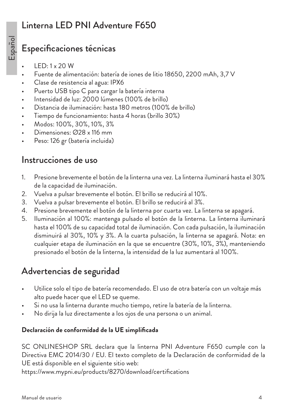## Linterna LED PNI Adventure F650

## Especificaciones técnicas

- LED: 1 x 20 W
- Fuente de alimentación: batería de iones de litio 18650, 2200 mAh, 3,7 V
- Clase de resistencia al agua: IPX6
- Puerto USB tipo C para cargar la batería interna
- Intensidad de luz: 2000 lúmenes (100% de brillo)
- Distancia de iluminación: hasta 180 metros (100% de brillo)
- Tiempo de funcionamiento: hasta 4 horas (brillo 30%)
- Modos: 100%, 30%, 10%, 3%
- Dimensiones: Ø28 x 116 mm
- Peso: 126 gr (batería incluida)

#### Instrucciones de uso

- 1. Presione brevemente el botón de la linterna una vez. La linterna iluminará hasta el 30% de la capacidad de iluminación.
- 2. Vuelva a pulsar brevemente el botón. El brillo se reducirá al 10%.
- 3. Vuelva a pulsar brevemente el botón. El brillo se reducirá al 3%.
- 4. Presione brevemente el botón de la linterna por cuarta vez. La linterna se apagará.
- 5. Iluminación al 100%: mantenga pulsado el botón de la linterna. La linterna iluminará hasta el 100% de su capacidad total de iluminación. Con cada pulsación, la iluminación disminuirá al 30%, 10% y 3%. A la cuarta pulsación, la linterna se apagará. Nota: en cualquier etapa de iluminación en la que se encuentre (30%, 10%, 3%), manteniendo presionado el botón de la linterna, la intensidad de la luz aumentará al 100%.

# Advertencias de seguridad

- Utilice solo el tipo de batería recomendado. El uso de otra batería con un voltaje más alto puede hacer que el LED se queme.
- Si no usa la linterna durante mucho tiempo, retire la batería de la linterna.
- No dirija la luz directamente a los ojos de una persona o un animal.

#### **Declaración de conformidad de la UE simplificada**

SC ONLINESHOP SRL declara que la linterna PNI Adventure F650 cumple con la Directiva EMC 2014/30 / EU. El texto completo de la Declaración de conformidad de la UE está disponible en el siguiente sitio web: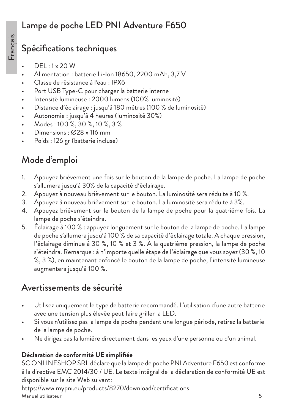## Lampe de poche LED PNI Adventure F650

# Spécifications techniques

- DEL : 1 x 20 W
- Alimentation : batterie Li-Ion 18650, 2200 mAh, 3,7 V
- Classe de résistance à l'eau : IPX6
- Port USB Type-C pour charger la batterie interne
- Intensité lumineuse : 2000 lumens (100% luminosité)
- Distance d'éclairage : jusqu'à 180 mètres (100 % de luminosité)
- Autonomie : jusqu'à 4 heures (luminosité 30%)
- Modes : 100 %, 30 %, 10 %, 3 %
- Dimensions : Ø28 x 116 mm
- Poids : 126 gr (batterie incluse)

# Mode d'emploi

- 1. Appuyez brièvement une fois sur le bouton de la lampe de poche. La lampe de poche s'allumera jusqu'à 30% de la capacité d'éclairage.
- 2. Appuyez à nouveau brièvement sur le bouton. La luminosité sera réduite à 10 %.
- 3. Appuyez à nouveau brièvement sur le bouton. La luminosité sera réduite à 3%.
- 4. Appuyez brièvement sur le bouton de la lampe de poche pour la quatrième fois. La lampe de poche s'éteindra.
- 5. Éclairage à 100 % : appuyez longuement sur le bouton de la lampe de poche. La lampe de poche s'allumera jusqu'à 100 % de sa capacité d'éclairage totale. A chaque pression, l'éclairage diminue à 30 %, 10 % et 3 %. À la quatrième pression, la lampe de poche s'éteindra. Remarque : à n'importe quelle étape de l'éclairage que vous soyez (30 %, 10 %, 3 %), en maintenant enfoncé le bouton de la lampe de poche, l'intensité lumineuse augmentera jusqu'à 100 %.

# Avertissements de sécurité

- Utilisez uniquement le type de batterie recommandé. L'utilisation d'une autre batterie avec une tension plus élevée peut faire griller la LED.
- Si vous n'utilisez pas la lampe de poche pendant une longue période, retirez la batterie de la lampe de poche.
- Ne dirigez pas la lumière directement dans les yeux d'une personne ou d'un animal.

#### **Déclaration de conformité UE simplifiée**

SC ONLINESHOP SRL déclare que la lampe de poche PNI Adventure F650 est conforme à la directive EMC 2014/30 / UE. Le texte intégral de la déclaration de conformité UE est disponible sur le site Web suivant:

Manuel utilisateur https://www.mypni.eu/products/8270/download/certifications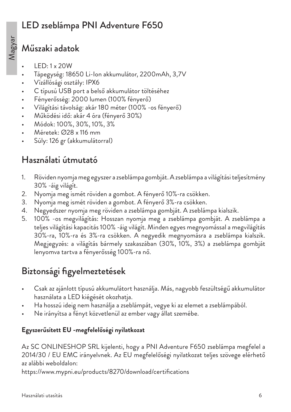## LED zseblámpa PNI Adventure F650

#### Műszaki adatok

- LED: 1 x 20W
- Tápegység: 18650 Li-Ion akkumulátor, 2200mAh, 3,7V
- Vízállósági osztály: IPX6
- C típusú USB port a belső akkumulátor töltéséhez
- Fényerősség: 2000 lumen (100% fényerő)
- Világítási távolság: akár 180 méter (100% -os fényerő)
- Működési idő: akár 4 óra (fényerő 30%)
- Módok: 100%, 30%, 10%, 3%
- Méretek: Ø28 x 116 mm
- Súly: 126 gr (akkumulátorral)

## Használati útmutató

- 1. Röviden nyomja meg egyszer a zseblámpa gombját. A zseblámpa a világítási teljesítmény 30% -áig világít.
- 2. Nyomja meg ismét röviden a gombot. A fényerő 10%-ra csökken.
- 3. Nyomja meg ismét röviden a gombot. A fényerő 3%-ra csökken.
- 4. Negyedszer nyomja meg röviden a zseblámpa gombját. A zseblámpa kialszik.
- 5. 100% -os megvilágítás: Hosszan nyomja meg a zseblámpa gombját. A zseblámpa a teljes világítási kapacitás 100% -áig világít. Minden egyes megnyomással a megvilágítás 30%-ra, 10%-ra és 3%-ra csökken. A negyedik megnyomásra a zseblámpa kialszik. Megjegyzés: a világítás bármely szakaszában (30%, 10%, 3%) a zseblámpa gombját lenyomva tartva a fényerősség 100%-ra nő.

## Biztonsági figyelmeztetések

- Csak az ajánlott típusú akkumulátort használja. Más, nagyobb feszültségű akkumulátor használata a LED kiégését okozhatja.
- Ha hosszú ideig nem használja a zseblámpát, vegye ki az elemet a zseblámpából.
- Ne irányítsa a fényt közvetlenül az ember vagy állat szemébe.

#### **Egyszerűsített EU -megfelelőségi nyilatkozat**

Az SC ONLINESHOP SRL kijelenti, hogy a PNI Adventure F650 zseblámpa megfelel a 2014/30 / EU EMC irányelvnek. Az EU megfelelőségi nyilatkozat teljes szövege elérhető az alábbi weboldalon: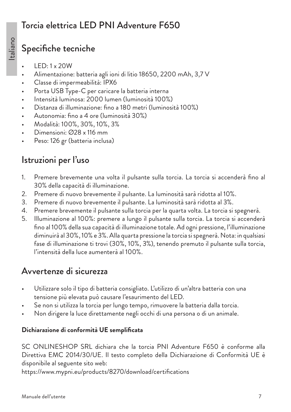#### Torcia elettrica LED PNI Adventure F650

### Specifiche tecniche

- LED: 1 x 20W
- Alimentazione: batteria agli ioni di litio 18650, 2200 mAh, 3,7 V
- Classe di impermeabilità: IPX6
- Porta USB Type-C per caricare la batteria interna
- Intensità luminosa: 2000 lumen (luminosità 100%)
- Distanza di illuminazione: fino a 180 metri (luminosità 100%)
- Autonomia: fino a 4 ore (luminosità 30%)
- Modalità: 100%, 30%, 10%, 3%
- Dimensioni: Ø28 x 116 mm
- Peso: 126 gr (batteria inclusa)

# Istruzioni per l'uso

- 1. Premere brevemente una volta il pulsante sulla torcia. La torcia si accenderà fino al 30% della capacità di illuminazione.
- 2. Premere di nuovo brevemente il pulsante. La luminosità sarà ridotta al 10%.
- 3. Premere di nuovo brevemente il pulsante. La luminosità sarà ridotta al 3%.
- 4. Premere brevemente il pulsante sulla torcia per la quarta volta. La torcia si spegnerà.
- 5. Illuminazione al 100%: premere a lungo il pulsante sulla torcia. La torcia si accenderà fino al 100% della sua capacità di illuminazione totale. Ad ogni pressione, l'illuminazione diminuirà al 30%, 10% e 3%. Alla quarta pressione la torcia si spegnerà. Nota: in qualsiasi fase di illuminazione ti trovi (30%, 10%, 3%), tenendo premuto il pulsante sulla torcia, l'intensità della luce aumenterà al 100%.

# Avvertenze di sicurezza

- Utilizzare solo il tipo di batteria consigliato. L'utilizzo di un'altra batteria con una tensione più elevata può causare l'esaurimento del LED.
- Se non si utilizza la torcia per lungo tempo, rimuovere la batteria dalla torcia.
- Non dirigere la luce direttamente negli occhi di una persona o di un animale.

#### **Dichiarazione di conformità UE semplificata**

SC ONLINESHOP SRL dichiara che la torcia PNI Adventure F650 è conforme alla Direttiva EMC 2014/30/UE. Il testo completo della Dichiarazione di Conformità UE è disponibile al seguente sito web: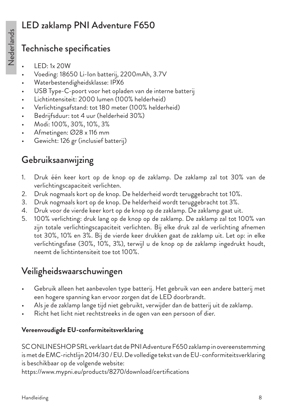# LED zaklamp PNI Adventure F650

## Technische specificaties

- LED: 1x 20W
- Voeding: 18650 Li-Ion batterij, 2200mAh, 3.7V
- Waterbestendigheidsklasse: IPX6
- USB Type-C-poort voor het opladen van de interne batterij
- Lichtintensiteit: 2000 lumen (100% helderheid)
- Verlichtingsafstand: tot 180 meter (100% helderheid)
- Bedrijfsduur: tot 4 uur (helderheid 30%)
- Modi: 100%, 30%, 10%, 3%
- Afmetingen: Ø28 x 116 mm
- Gewicht: 126 gr (inclusief batterij)

# Gebruiksaanwijzing

- 1. Druk één keer kort op de knop op de zaklamp. De zaklamp zal tot 30% van de verlichtingscapaciteit verlichten.
- 2. Druk nogmaals kort op de knop. De helderheid wordt teruggebracht tot 10%.
- 3. Druk nogmaals kort op de knop. De helderheid wordt teruggebracht tot 3%.
- 4. Druk voor de vierde keer kort op de knop op de zaklamp. De zaklamp gaat uit.
- 5. 100% verlichting: druk lang op de knop op de zaklamp. De zaklamp zal tot 100% van zijn totale verlichtingscapaciteit verlichten. Bij elke druk zal de verlichting afnemen tot 30%, 10% en 3%. Bij de vierde keer drukken gaat de zaklamp uit. Let op: in elke verlichtingsfase (30%, 10%, 3%), terwijl u de knop op de zaklamp ingedrukt houdt, neemt de lichtintensiteit toe tot 100%.

# Veiligheidswaarschuwingen

- Gebruik alleen het aanbevolen type batterij. Het gebruik van een andere batterij met een hogere spanning kan ervoor zorgen dat de LED doorbrandt.
- Als je de zaklamp lange tijd niet gebruikt, verwijder dan de batterij uit de zaklamp.
- Richt het licht niet rechtstreeks in de ogen van een persoon of dier.

#### **Vereenvoudigde EU-conformiteitsverklaring**

SC ONLINESHOP SRL verklaart dat de PNI Adventure F650 zaklamp in overeenstemming is met de EMC-richtlijn 2014/30 / EU. De volledige tekst van de EU-conformiteitsverklaring is beschikbaar op de volgende website: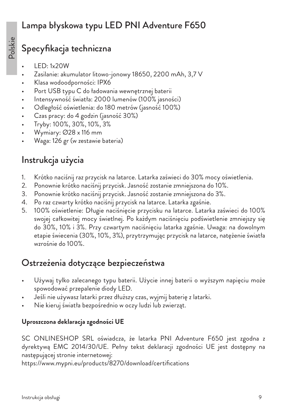#### Lampa błyskowa typu LED PNI Adventure F650

# Specyfikacja techniczna

- LED: 1x20W
- Zasilanie: akumulator litowo-jonowy 18650, 2200 mAh, 3,7 V
- Klasa wodoodporności: IPX6
- Port USB typu C do ładowania wewnętrznej baterii
- Intensywność światła: 2000 lumenów (100% jasności)
- Odległość oświetlenia: do 180 metrów (jasność 100%)
- Czas pracy: do 4 godzin (jasność 30%)
- Tryby: 100%, 30%, 10%, 3%
- Wymiary: Ø28 x 116 mm
- Waga: 126 gr (w zestawie bateria)

# Instrukcja użycia

- 1. Krótko naciśnij raz przycisk na latarce. Latarka zaświeci do 30% mocy oświetlenia.
- 2. Ponownie krótko naciśnij przycisk. Jasność zostanie zmniejszona do 10%.
- 3. Ponownie krótko naciśnij przycisk. Jasność zostanie zmniejszona do 3%.
- 4. Po raz czwarty krótko naciśnij przycisk na latarce. Latarka zgaśnie.
- 5. 100% oświetlenie: Długie naciśnięcie przycisku na latarce. Latarka zaświeci do 100% swojej całkowitej mocy świetlnej. Po każdym naciśnięciu podświetlenie zmniejszy się do 30%, 10% i 3%. Przy czwartym naciśnięciu latarka zgaśnie. Uwaga: na dowolnym etapie świecenia (30%, 10%, 3%), przytrzymując przycisk na latarce, natężenie światła wzrośnie do 100%.

# Ostrzeżenia dotyczące bezpieczeństwa

- Używaj tylko zalecanego typu baterii. Użycie innej baterii o wyższym napięciu może spowodować przepalenie diody LED.
- Jeśli nie używasz latarki przez dłuższy czas, wyjmij baterię z latarki.
- Nie kieruj światła bezpośrednio w oczy ludzi lub zwierząt.

#### **Uproszczona deklaracja zgodności UE**

SC ONLINESHOP SRL oświadcza, że latarka PNI Adventure F650 jest zgodna z dyrektywą EMC 2014/30/UE. Pełny tekst deklaracji zgodności UE jest dostępny na następującej stronie internetowej: